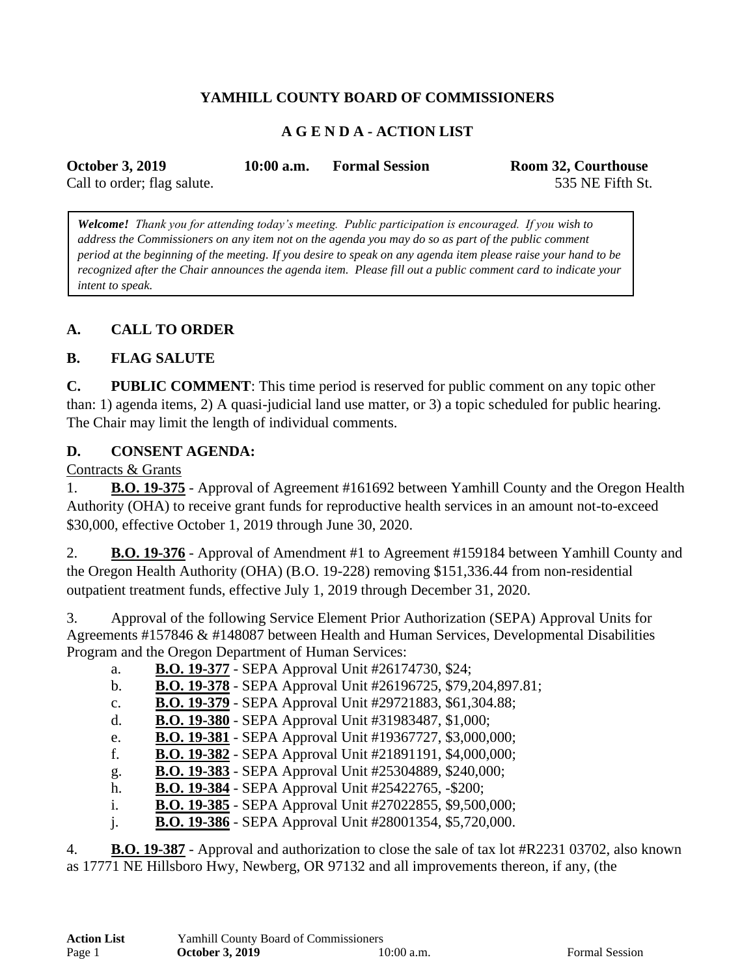## **YAMHILL COUNTY BOARD OF COMMISSIONERS**

#### **A G E N D A - ACTION LIST**

| <b>October 3, 2019</b>      | $10:00$ a.m. | <b>Formal Session</b> | Room 32, Courthouse |
|-----------------------------|--------------|-----------------------|---------------------|
| Call to order; flag salute. |              |                       | 535 NE Fifth St.    |

*Welcome! Thank you for attending today's meeting. Public participation is encouraged. If you wish to address the Commissioners on any item not on the agenda you may do so as part of the public comment period at the beginning of the meeting. If you desire to speak on any agenda item please raise your hand to be recognized after the Chair announces the agenda item. Please fill out a public comment card to indicate your intent to speak.*

#### **A. CALL TO ORDER**

#### **B. FLAG SALUTE**

**C. PUBLIC COMMENT**: This time period is reserved for public comment on any topic other than: 1) agenda items, 2) A quasi-judicial land use matter, or 3) a topic scheduled for public hearing. The Chair may limit the length of individual comments.

#### **D. CONSENT AGENDA:**

Contracts & Grants

1. **B.O. 19-375** - Approval of Agreement #161692 between Yamhill County and the Oregon Health Authority (OHA) to receive grant funds for reproductive health services in an amount not-to-exceed \$30,000, effective October 1, 2019 through June 30, 2020.

2. **B.O. 19-376** - Approval of Amendment #1 to Agreement #159184 between Yamhill County and the Oregon Health Authority (OHA) (B.O. 19-228) removing \$151,336.44 from non-residential outpatient treatment funds, effective July 1, 2019 through December 31, 2020.

3. Approval of the following Service Element Prior Authorization (SEPA) Approval Units for Agreements #157846 & #148087 between Health and Human Services, Developmental Disabilities Program and the Oregon Department of Human Services:

| a. | <b>B.O. 19-377</b> - SEPA Approval Unit #26174730, \$24; |  |
|----|----------------------------------------------------------|--|

b. **B.O. 19-378** - SEPA Approval Unit #26196725, \$79,204,897.81;

c. **B.O. 19-379** - SEPA Approval Unit #29721883, \$61,304.88;

d. **B.O. 19-380** - SEPA Approval Unit #31983487, \$1,000;

e. **B.O. 19-381** - SEPA Approval Unit #19367727, \$3,000,000;

f. **B.O. 19-382** - SEPA Approval Unit #21891191, \$4,000,000;

g. **B.O. 19-383** - SEPA Approval Unit #25304889, \$240,000;

h. **B.O. 19-384** - SEPA Approval Unit #25422765, -\$200;

i. **B.O. 19-385** - SEPA Approval Unit #27022855, \$9,500,000;

j. **B.O. 19-386** - SEPA Approval Unit #28001354, \$5,720,000.

4. **B.O. 19-387** - Approval and authorization to close the sale of tax lot #R2231 03702, also known as 17771 NE Hillsboro Hwy, Newberg, OR 97132 and all improvements thereon, if any, (the